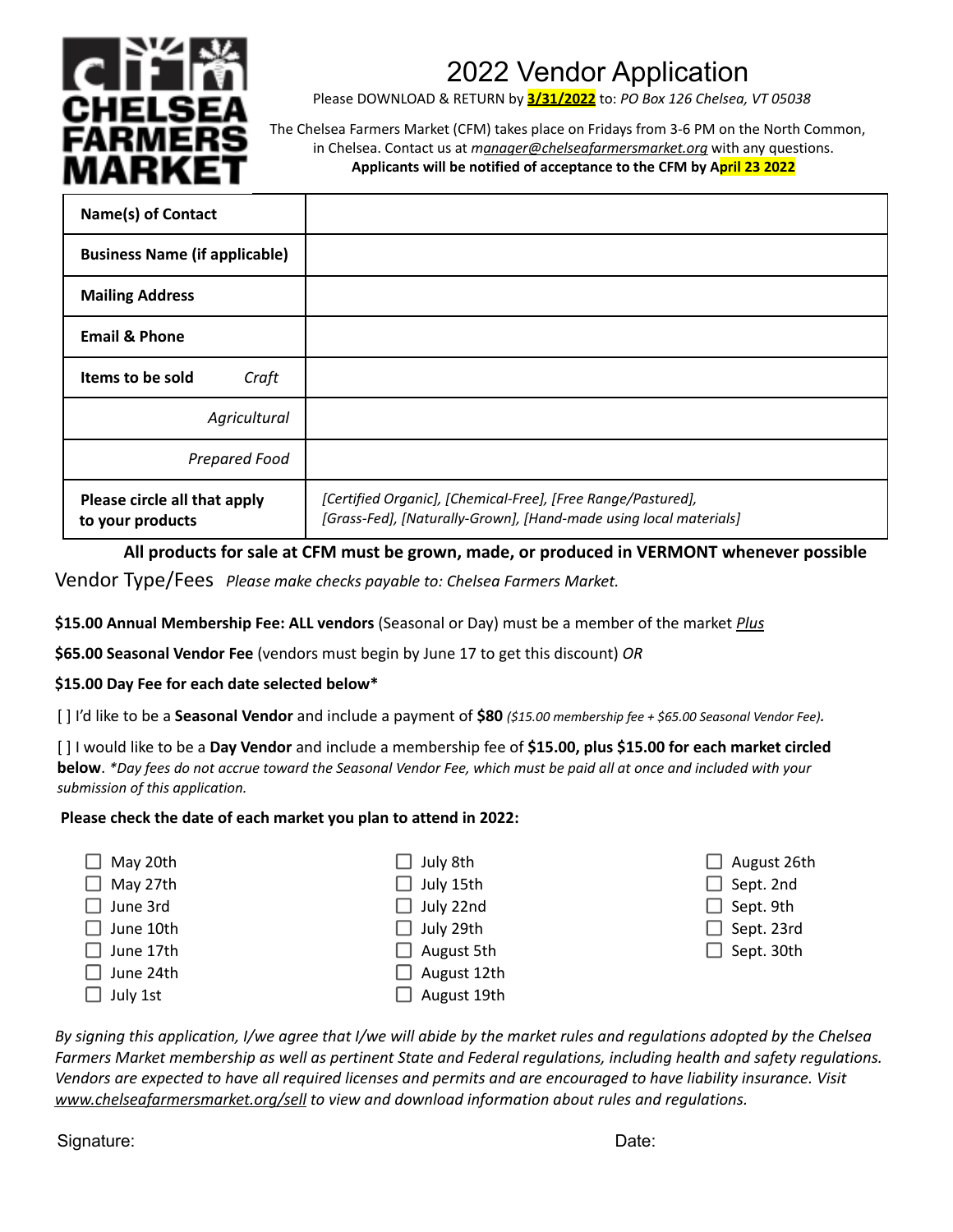

## 2022 Vendor Application

Please DOWNLOAD & RETURN by **3/31/2022** to: *PO Box 126 Chelsea, VT 05038*

The Chelsea Farmers Market (CFM) takes place on Fridays from 3-6 PM on the North Common, in Chelsea. Contact us at *manager@chelseafarmersmarket.org* with any questions. **Applicants will be notified of acceptance to the CFM by April 23 2022**

| <b>Name(s) of Contact</b>                        |                                                                                                                                   |
|--------------------------------------------------|-----------------------------------------------------------------------------------------------------------------------------------|
| <b>Business Name (if applicable)</b>             |                                                                                                                                   |
| <b>Mailing Address</b>                           |                                                                                                                                   |
| <b>Email &amp; Phone</b>                         |                                                                                                                                   |
| Items to be sold<br>Craft                        |                                                                                                                                   |
| Agricultural                                     |                                                                                                                                   |
| Prepared Food                                    |                                                                                                                                   |
| Please circle all that apply<br>to your products | [Certified Organic], [Chemical-Free], [Free Range/Pastured],<br>[Grass-Fed], [Naturally-Grown], [Hand-made using local materials] |

**All products for sale at CFM must be grown, made, or produced in VERMONT whenever possible** Vendor Type/Fees *Please make checks payable to: Chelsea Farmers Market.*

**\$15.00 Annual Membership Fee: ALL vendors** (Seasonal or Day) must be a member of the market *Plus*

**\$65.00 Seasonal Vendor Fee** (vendors must begin by June 17 to get this discount) *OR*

#### **\$15.00 Day Fee for each date selected below\***

[ ] I'd like to be a **Seasonal Vendor** and include a payment of **\$80** *(\$15.00 membership fee + \$65.00 Seasonal Vendor Fee).*

[ ] I would like to be a **Day Vendor** and include a membership fee of **\$15.00, plus \$15.00 for each market circled** below. \*Day fees do not accrue toward the Seasonal Vendor Fee, which must be paid all at once and included with your *submission of this application.*

#### **Please check the date of each market you plan to attend in 2022:**

| May 20th  | $\Box$ July 8th    | $\Box$ August 26th |
|-----------|--------------------|--------------------|
| May 27th  | $\Box$ July 15th   | $\Box$ Sept. 2nd   |
| June 3rd  | $\Box$ July 22nd   | $\Box$ Sept. 9th   |
| June 10th | $\Box$ July 29th   | $\Box$ Sept. 23rd  |
| June 17th | $\Box$ August 5th  | $\Box$ Sept. 30th  |
| June 24th | $\Box$ August 12th |                    |
| July 1st  | August 19th        |                    |

By signing this application, I/we agree that I/we will abide by the market rules and regulations adopted by the Chelsea Farmers Market membership as well as pertinent State and Federal regulations, including health and safety regulations. Vendors are expected to have all required licenses and permits and are encouraged to have liability insurance. Visit *www.chelseafarmersmarket.org/sell to view and download information about rules and regulations.*

Signature: Date: Description of the Contract of the Contract of the Contract of the Date: Date: